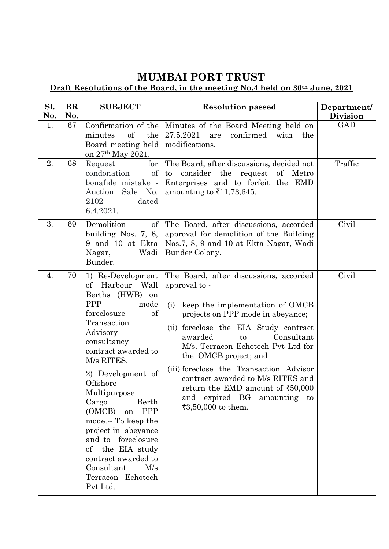## **MUMBAI PORT TRUST**

## **Draft Resolutions of the Board, in the meeting No.4 held on 30th June, 2021**

| Sl.<br>No. | $\bf{BR}$<br>No. | <b>SUBJECT</b>                                                                                                                                                                                                                                                                                                                                                                                                                                       | <b>Resolution passed</b>                                                                                                                                                                                                                                                                                                                                                                                                                                     | Department/<br><b>Division</b> |
|------------|------------------|------------------------------------------------------------------------------------------------------------------------------------------------------------------------------------------------------------------------------------------------------------------------------------------------------------------------------------------------------------------------------------------------------------------------------------------------------|--------------------------------------------------------------------------------------------------------------------------------------------------------------------------------------------------------------------------------------------------------------------------------------------------------------------------------------------------------------------------------------------------------------------------------------------------------------|--------------------------------|
| 1.         | 67               | Confirmation of the<br>of<br>the<br>minutes<br>Board meeting held<br>on 27 <sup>th</sup> May 2021.                                                                                                                                                                                                                                                                                                                                                   | Minutes of the Board Meeting held on<br>27.5.2021<br>confirmed<br>with<br>are<br>the<br>modifications.                                                                                                                                                                                                                                                                                                                                                       | <b>GAD</b>                     |
| 2.         | 68               | for<br>Request<br><sub>of</sub><br>condonation<br>bonafide mistake -<br>Sale No.<br>Auction<br>2102<br>dated<br>6.4.2021.                                                                                                                                                                                                                                                                                                                            | The Board, after discussions, decided not<br>to consider the<br>request<br>of Metro<br>Enterprises and to forfeit the EMD<br>amounting to $\bar{\xi}$ 11,73,645.                                                                                                                                                                                                                                                                                             | Traffic                        |
| 3.         | 69               | Demolition<br>$\sigma$<br>building Nos. $7, 8,$<br>9 and 10 at Ekta<br>Wadi<br>Nagar,<br>Bunder.                                                                                                                                                                                                                                                                                                                                                     | The Board, after discussions, accorded<br>approval for demolition of the Building<br>Nos.7, 8, 9 and 10 at Ekta Nagar, Wadi<br>Bunder Colony.                                                                                                                                                                                                                                                                                                                | Civil                          |
| 4.         | 70               | 1) Re-Development<br>of Harbour Wall<br>Berths (HWB) on<br><b>PPP</b><br>mode<br>foreclosure<br>of<br>Transaction<br>Advisory<br>consultancy<br>contract awarded to<br>M/s RITES.<br>2) Development of<br>Offshore<br>Multipurpose<br>Cargo<br>Berth<br>(OMCB)<br><b>PPP</b><br>on<br>mode To keep the<br>project in abeyance<br>and to foreclosure<br>of the EIA study<br>contract awarded to<br>Consultant<br>M/s<br>Terracon Echotech<br>Pvt Ltd. | The Board, after discussions, accorded<br>approval to -<br>keep the implementation of OMCB<br>(i)<br>projects on PPP mode in abeyance;<br>foreclose the EIA Study contract<br>(ii)<br>awarded<br>Consultant<br>to<br>M/s. Terracon Echotech Pvt Ltd for<br>the OMCB project; and<br>(iii) foreclose the Transaction Advisor<br>contract awarded to M/s RITES and<br>return the EMD amount of ₹50,000<br>and expired BG<br>amounting to<br>₹3,50,000 to them. | Civil                          |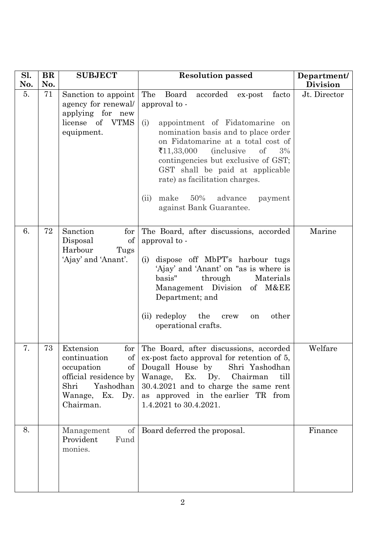| Sl.       | <b>BR</b><br>No. | <b>SUBJECT</b>                                                                                                                     | <b>Resolution passed</b>                                                                                                                                                                                                                                                                                                                                                                                                | Department/                     |
|-----------|------------------|------------------------------------------------------------------------------------------------------------------------------------|-------------------------------------------------------------------------------------------------------------------------------------------------------------------------------------------------------------------------------------------------------------------------------------------------------------------------------------------------------------------------------------------------------------------------|---------------------------------|
| No.<br>5. | 71               | Sanction to appoint<br>agency for renewal/<br>applying for new<br>license of VTMS<br>equipment.                                    | The<br>Board<br>accorded ex-post<br>facto<br>approval to -<br>(i)<br>appointment of Fidatomarine on<br>nomination basis and to place order<br>on Fidatomarine at a total cost of<br>₹11,33,000<br><i>(inclusive)</i><br>of<br>3%<br>contingencies but exclusive of GST;<br>GST shall be paid at applicable<br>rate) as facilitation charges.<br>make<br>$50\%$<br>advance<br>(ii)<br>payment<br>against Bank Guarantee. | <b>Division</b><br>Jt. Director |
| 6.        | 72               | Sanction<br>for<br>Disposal<br>of<br>Harbour<br>Tugs<br>'Ajay' and 'Anant'.                                                        | The Board, after discussions, accorded<br>approval to -<br>dispose off MbPT's harbour tugs<br>(i)<br>'Ajay' and 'Anant' on "as is where is<br>basis"<br>through<br>Materials<br>Management Division of M&EE<br>Department; and<br>(ii) redeploy<br>the<br>other<br>crew<br>on<br>operational crafts.                                                                                                                    | Marine                          |
| 7.        | 73               | Extension<br>for<br>of<br>continuation<br>occupation<br>official residence by<br>Yashodhan<br>Shri<br>Wanage, Ex. Dy.<br>Chairman. | The Board, after discussions, accorded<br>ex-post facto approval for retention of 5,<br>of Dougall House by Shri Yashodhan<br>Wanage, Ex. Dy. Chairman<br>till<br>30.4.2021 and to charge the same rent<br>as approved in the earlier TR from<br>1.4.2021 to 30.4.2021.                                                                                                                                                 | Welfare                         |
| 8.        |                  | of<br>Management<br>Fund<br>Provident<br>monies.                                                                                   | Board deferred the proposal.                                                                                                                                                                                                                                                                                                                                                                                            | Finance                         |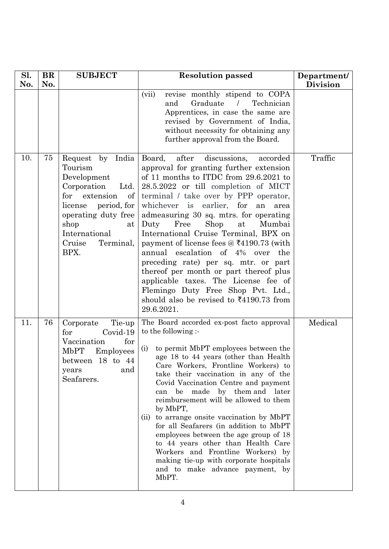| Sl. | <b>BR</b> | <b>SUBJECT</b>                                                                                                                                                                                          | <b>Resolution passed</b>                                                                                                                                                                                                                                                                                                                                                                                                                                                                                                                                                                                                                                                                                                      | Department/     |
|-----|-----------|---------------------------------------------------------------------------------------------------------------------------------------------------------------------------------------------------------|-------------------------------------------------------------------------------------------------------------------------------------------------------------------------------------------------------------------------------------------------------------------------------------------------------------------------------------------------------------------------------------------------------------------------------------------------------------------------------------------------------------------------------------------------------------------------------------------------------------------------------------------------------------------------------------------------------------------------------|-----------------|
| No. | No.       |                                                                                                                                                                                                         | (vii)<br>revise monthly stipend to COPA<br>Graduate<br>Technician<br>and<br>$\prime$<br>Apprentices, in case the same are<br>revised by Government of India,<br>without necessity for obtaining any<br>further approval from the Board.                                                                                                                                                                                                                                                                                                                                                                                                                                                                                       | <b>Division</b> |
| 10. | 75        | Request by India<br>Tourism<br>Development<br>Corporation<br>Ltd.<br>for<br>extension<br>of<br>license period, for<br>operating duty free<br>shop<br>at<br>International<br>Cruise<br>Terminal,<br>BPX. | after<br>Board,<br>discussions,<br>accorded<br>approval for granting further extension<br>of 11 months to ITDC from 29.6.2021 to<br>28.5.2022 or till completion of MICT<br>terminal / take over by PPP operator,<br>whichever is earlier, for<br>an<br>area<br>admeasuring 30 sq. mtrs. for operating<br>at<br>Free<br>Shop<br>Duty<br>Mumbai<br>International Cruise Terminal, BPX on<br>payment of license fees $@ \xi 4190.73$ (with<br>annual escalation of 4% over<br>the<br>preceding rate) per sq. mtr. or part<br>thereof per month or part thereof plus<br>applicable taxes. The License fee of<br>Flemingo Duty Free Shop Pvt. Ltd.,<br>should also be revised to $\text{\textsterling}4190.73$ from<br>29.6.2021. | Traffic         |
| 11. | 76        | Tie-up<br>Corporate<br>Covid-19<br>for<br>for<br>Vaccination<br><b>MbPT</b><br>Employees<br>between 18 to 44<br>and<br>years<br>Seafarers.                                                              | The Board accorded ex-post facto approval<br>to the following :-<br>to permit MbPT employees between the<br>(i)<br>age 18 to 44 years (other than Health<br>Care Workers, Frontline Workers) to<br>take their vaccination in any of the<br>Covid Vaccination Centre and payment<br>be made by them and later<br>can<br>reimbursement will be allowed to them<br>by MbPT,<br>(ii) to arrange onsite vaccination by MbPT<br>for all Seafarers (in addition to MbPT<br>employees between the age group of 18<br>to 44 years other than Health Care<br>Workers and Frontline Workers) by<br>making tie-up with corporate hospitals<br>and to make advance payment, by<br>MbPT.                                                    | Medical         |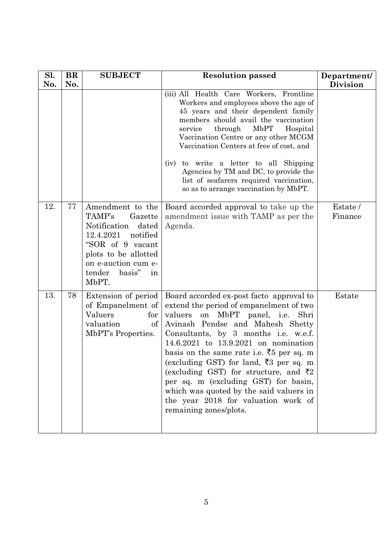| Sl. | <b>BR</b> | <b>SUBJECT</b>                                                                                                                                                                                | <b>Resolution passed</b>                                                                                                                                                                                                                                                                                                                                                                                                                                                                                                                          | Department/         |
|-----|-----------|-----------------------------------------------------------------------------------------------------------------------------------------------------------------------------------------------|---------------------------------------------------------------------------------------------------------------------------------------------------------------------------------------------------------------------------------------------------------------------------------------------------------------------------------------------------------------------------------------------------------------------------------------------------------------------------------------------------------------------------------------------------|---------------------|
| No. | No.       |                                                                                                                                                                                               |                                                                                                                                                                                                                                                                                                                                                                                                                                                                                                                                                   | <b>Division</b>     |
|     |           |                                                                                                                                                                                               | (iii) All Health Care Workers, Frontline<br>Workers and employees above the age of<br>45 years and their dependent family<br>members should avail the vaccination<br>through<br>MbPT<br>service<br>Hospital<br>Vaccination Centre or any other MCGM<br>Vaccination Centers at free of cost, and                                                                                                                                                                                                                                                   |                     |
|     |           |                                                                                                                                                                                               | to write a letter to all Shipping<br>(iv)<br>Agencies by TM and DC, to provide the<br>list of seafarers required vaccination,<br>so as to arrange vaccination by MbPT.                                                                                                                                                                                                                                                                                                                                                                            |                     |
| 12. | 77        | Amendment to the<br>TAMP's<br>Gazette<br>Notification<br>dated<br>12.4.2021<br>notified<br>"SOR of 9 vacant<br>plots to be allotted<br>on e-auction cum e-<br>tender<br>basis"<br>in<br>MbPT. | Board accorded approval to take up the<br>amendment issue with TAMP as per the<br>Agenda.                                                                                                                                                                                                                                                                                                                                                                                                                                                         | Estate /<br>Finance |
| 13. | 78        | Extension of period<br>of Empanelment of<br>Valuers<br>for<br>valuation<br>of<br>MbPT's Properties.                                                                                           | Board accorded ex-post facto approval to<br>extend the period of empanelment of two<br>on MbPT panel, i.e.<br>valuers<br>Shri<br>Avinash Pendse and Mahesh Shetty<br>Consultants, by 3 months i.e. w.e.f.<br>14.6.2021 to 13.9.2021 on nomination<br>basis on the same rate i.e. $\overline{5}5$ per sq. m<br>(excluding GST) for land, ₹3 per sq. m<br>(excluding GST) for structure, and ₹2<br>per sq. m (excluding GST) for basin,<br>which was quoted by the said valuers in<br>the year 2018 for valuation work of<br>remaining zones/plots. | Estate              |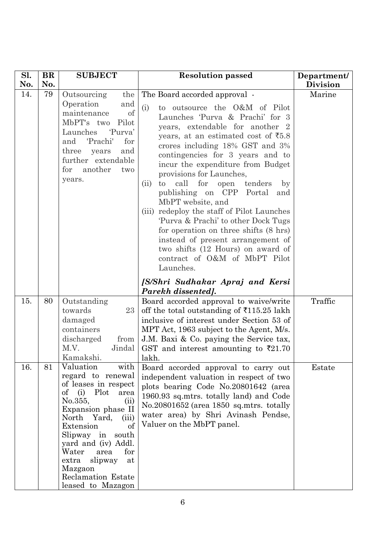| Sl. | <b>BR</b> | <b>SUBJECT</b>                                                                                                                                                                                                                                                                                                                              | <b>Resolution passed</b>                                                                                                                                                                                                                                                                                                                                                                                                                                                                                                                                                                                                                                                                                                                               | Department/     |
|-----|-----------|---------------------------------------------------------------------------------------------------------------------------------------------------------------------------------------------------------------------------------------------------------------------------------------------------------------------------------------------|--------------------------------------------------------------------------------------------------------------------------------------------------------------------------------------------------------------------------------------------------------------------------------------------------------------------------------------------------------------------------------------------------------------------------------------------------------------------------------------------------------------------------------------------------------------------------------------------------------------------------------------------------------------------------------------------------------------------------------------------------------|-----------------|
| No. | No.       |                                                                                                                                                                                                                                                                                                                                             |                                                                                                                                                                                                                                                                                                                                                                                                                                                                                                                                                                                                                                                                                                                                                        | <b>Division</b> |
| 14. | 79        | Outsourcing<br>the<br>Operation<br>and<br>maintenance<br>of<br>MbPT's two<br>Pilot<br>'Purva'<br>Launches<br>'Prachi'<br>for<br>and<br>three<br>and<br>years<br>further extendable<br>another<br>for<br>two<br>years.                                                                                                                       | The Board accorded approval -<br>to outsource the O&M of Pilot<br>(i)<br>Launches 'Purva & Prachi' for 3<br>years, extendable for another 2<br>years, at an estimated cost of $\bar{5}3.8$<br>crores including 18% GST and 3%<br>contingencies for 3 years and to<br>incur the expenditure from Budget<br>provisions for Launches,<br>call<br>for<br>tenders<br>open<br>(ii)<br>to<br>$_{\rm by}$<br>publishing on CPP Portal<br>and<br>MbPT website, and<br>redeploy the staff of Pilot Launches<br>(iii)<br>'Purva & Prachi' to other Dock Tugs<br>for operation on three shifts (8 hrs)<br>instead of present arrangement of<br>two shifts (12 Hours) on award of<br>contract of O&M of MbPT Pilot<br>Launches.<br>[S/Shri Sudhakar Apraj and Kersi | Marine          |
|     |           |                                                                                                                                                                                                                                                                                                                                             | Parekh dissented].                                                                                                                                                                                                                                                                                                                                                                                                                                                                                                                                                                                                                                                                                                                                     |                 |
| 15. | 80        | Outstanding<br>23<br>towards<br>damaged<br>containers<br>discharged<br>from<br>M.V.<br>Jindal<br>Kamakshi.                                                                                                                                                                                                                                  | Board accorded approval to waive/write<br>off the total outstanding of $\overline{5}115.25$ lakh<br>inclusive of interest under Section 53 of<br>MPT Act, 1963 subject to the Agent, M/s.<br>J.M. Baxi $\&$ Co. paying the Service tax,<br>GST and interest amounting to $\overline{\xi}21.70$<br>lakh.                                                                                                                                                                                                                                                                                                                                                                                                                                                | Traffic         |
| 16. | 81        | Valuation<br>with<br>regard to renewal<br>of leases in respect<br>of $(i)$<br>Plot<br>area<br>No.355,<br>(ii)<br>Expansion phase II<br>North Yard,<br>(iii)<br>Extension<br>of<br>Slipway in<br>south<br>yard and (iv) Addl.<br>for<br>Water<br>area<br>slipway<br>extra<br>at<br>Mazgaon<br><b>Reclamation Estate</b><br>leased to Mazagon | Board accorded approval to carry out<br>independent valuation in respect of two<br>plots bearing Code No.20801642 (area<br>1960.93 sq.mtrs. totally land) and Code<br>No.20801652 (area 1850 sq.mtrs. totally<br>water area) by Shri Avinash Pendse,<br>Valuer on the MbPT panel.                                                                                                                                                                                                                                                                                                                                                                                                                                                                      | Estate          |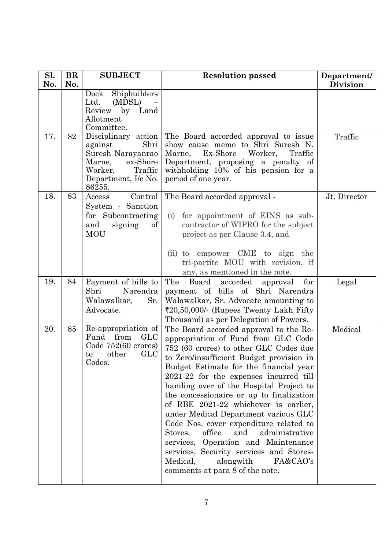| Sl. | <b>BR</b> | <b>SUBJECT</b>                                                                                                                           | <b>Resolution passed</b>                                                                                                                                                                                                                                                                                                                                                                                                                                                                                                                                                                                                                                                            | Department/     |
|-----|-----------|------------------------------------------------------------------------------------------------------------------------------------------|-------------------------------------------------------------------------------------------------------------------------------------------------------------------------------------------------------------------------------------------------------------------------------------------------------------------------------------------------------------------------------------------------------------------------------------------------------------------------------------------------------------------------------------------------------------------------------------------------------------------------------------------------------------------------------------|-----------------|
| No. | No.       |                                                                                                                                          |                                                                                                                                                                                                                                                                                                                                                                                                                                                                                                                                                                                                                                                                                     | <b>Division</b> |
|     |           | Shipbuilders<br>Dock<br>Ltd.<br>(MDSL)<br>Review by Land<br>Allotment<br>Committee.                                                      |                                                                                                                                                                                                                                                                                                                                                                                                                                                                                                                                                                                                                                                                                     |                 |
| 17. | 82        | Disciplinary action<br>Shri<br>against<br>Suresh Narayanrao<br>ex-Shore<br>Marne,<br>Traffic<br>Worker,<br>Department, I/c No.<br>86255. | The Board accorded approval to issue<br>show cause memo to Shri Suresh N.<br>Ex-Shore<br>Worker,<br>Marne,<br>Traffic<br>Department, proposing a penalty of<br>withholding 10% of his pension for a<br>period of one year.                                                                                                                                                                                                                                                                                                                                                                                                                                                          | Traffic         |
| 18. | 83        | Control<br>Access<br>System - Sanction<br>for Subcontracting<br>of<br>and<br>signing<br><b>MOU</b>                                       | The Board accorded approval -<br>for appointment of EINS as sub-<br>(i)<br>contractor of WIPRO for the subject<br>project as per Clause 3.4, and<br>(ii) to empower CME to sign the<br>tri-partite MOU with revision, if<br>any, as mentioned in the note.                                                                                                                                                                                                                                                                                                                                                                                                                          | Jt. Director    |
| 19. | 84        | Payment of bills to<br>Shri<br>Narendra<br>Walawalkar,<br>Sr.<br>Advocate.                                                               | The<br>Board<br>accorded<br>for<br>approval<br>payment of bills of Shri Narendra<br>Walawalkar, Sr. Advocate amounting to<br>₹20,50,000/- (Rupees Twenty Lakh Fifty<br>Thousand) as per Delegation of Powers.                                                                                                                                                                                                                                                                                                                                                                                                                                                                       | Legal           |
| 20. | 85        | Re-appropriation of<br>Fund from<br>GLC<br>Code 752(60 crores)<br><b>GLC</b><br>other<br>to<br>Codes.                                    | The Board accorded approval to the Re-<br>appropriation of Fund from GLC Code<br>752 (60 crores) to other GLC Codes due<br>to Zero/insufficient Budget provision in<br>Budget Estimate for the financial year<br>2021-22 for the expenses incurred till<br>handing over of the Hospital Project to<br>the concessionaire or up to finalization<br>of RBE 2021-22 whichever is earlier,<br>under Medical Department various GLC<br>Code Nos. cover expenditure related to<br>office<br>and<br>administrative<br>Stores,<br>Operation and Maintenance<br>services,<br>services, Security services and Stores-<br>Medical,<br>alongwith<br>FA&CAO's<br>comments at para 8 of the note. | Medical         |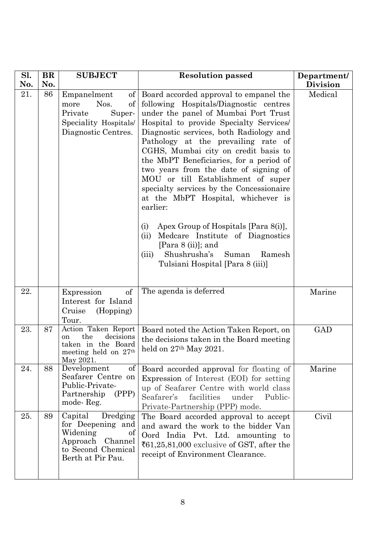| Sl. | <b>BR</b> | <b>SUBJECT</b>                                                                                                            | <b>Resolution passed</b>                                                                                                                                                                                                                                                                                                                                                                                                                                                                                                                                                                                                                                                                                                | Department/     |
|-----|-----------|---------------------------------------------------------------------------------------------------------------------------|-------------------------------------------------------------------------------------------------------------------------------------------------------------------------------------------------------------------------------------------------------------------------------------------------------------------------------------------------------------------------------------------------------------------------------------------------------------------------------------------------------------------------------------------------------------------------------------------------------------------------------------------------------------------------------------------------------------------------|-----------------|
| No. | No.       |                                                                                                                           |                                                                                                                                                                                                                                                                                                                                                                                                                                                                                                                                                                                                                                                                                                                         | <b>Division</b> |
| 21. | 86        | of<br>Empanelment<br>Nos.<br>of<br>more<br>Super-<br>Private<br>Speciality Hospitals/<br>Diagnostic Centres.              | Board accorded approval to empanel the<br>following Hospitals/Diagnostic centres<br>under the panel of Mumbai Port Trust<br>Hospital to provide Specialty Services<br>Diagnostic services, both Radiology and<br>Pathology at the prevailing rate of<br>CGHS, Mumbai city on credit basis to<br>the MbPT Beneficiaries, for a period of<br>two years from the date of signing of<br>MOU or till Establishment of super<br>specialty services by the Concessionaire<br>at the MbPT Hospital, whichever is<br>earlier:<br>Apex Group of Hospitals [Para 8(i)],<br>(i)<br>Medcare Institute of Diagnostics<br>(ii)<br>[Para $8$ (ii)]; and<br>Shushrusha's<br>Suman<br>(iii)<br>Ramesh<br>Tulsiani Hospital [Para 8 (iii)] | Medical         |
| 22. |           | of<br>Expression<br>Interest for Island<br>Cruise<br>(Hopping)<br>Tour.                                                   | The agenda is deferred                                                                                                                                                                                                                                                                                                                                                                                                                                                                                                                                                                                                                                                                                                  | Marine          |
| 23. | 87        | Action Taken Report<br>the<br>decisions<br><sub>on</sub><br>taken in the Board<br>meeting held on $27th$<br>May 2021.     | Board noted the Action Taken Report, on<br>the decisions taken in the Board meeting<br>held on $27th$ May 2021.                                                                                                                                                                                                                                                                                                                                                                                                                                                                                                                                                                                                         | <b>GAD</b>      |
| 24. | 88        | Development<br>of<br>Seafarer Centre on<br>Public-Private-<br>(PPP)<br>Partnership<br>mode-Reg.                           | Board accorded approval for floating of<br>Expression of Interest (EOI) for setting<br>up of Seafarer Centre with world class<br>facilities<br>Seafarer's<br>under<br>Public-<br>Private-Partnership (PPP) mode.                                                                                                                                                                                                                                                                                                                                                                                                                                                                                                        | Marine          |
| 25. | 89        | Capital<br>Dredging<br>for Deepening and<br>Widening<br>of<br>Approach Channel<br>to Second Chemical<br>Berth at Pir Pau. | The Board accorded approval to accept<br>and award the work to the bidder Van<br>Oord India Pvt. Ltd. amounting to<br>₹61,25,81,000 exclusive of GST, after the<br>receipt of Environment Clearance.                                                                                                                                                                                                                                                                                                                                                                                                                                                                                                                    | Civil           |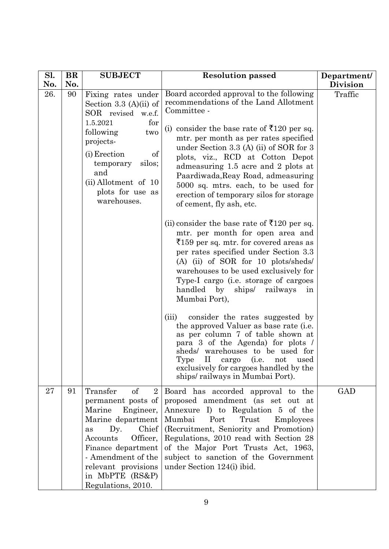| Sl.<br>No. | BR<br>No. | <b>SUBJECT</b>                                                                                                                                                                                                                                                      | <b>Resolution passed</b>                                                                                                                                                                                                                                                                                                                                                                                                                                                                                                                                                                                                                                                                                                                                                                                                                                                                                                                                                                                                                                                                                                                                                      | Department/                |
|------------|-----------|---------------------------------------------------------------------------------------------------------------------------------------------------------------------------------------------------------------------------------------------------------------------|-------------------------------------------------------------------------------------------------------------------------------------------------------------------------------------------------------------------------------------------------------------------------------------------------------------------------------------------------------------------------------------------------------------------------------------------------------------------------------------------------------------------------------------------------------------------------------------------------------------------------------------------------------------------------------------------------------------------------------------------------------------------------------------------------------------------------------------------------------------------------------------------------------------------------------------------------------------------------------------------------------------------------------------------------------------------------------------------------------------------------------------------------------------------------------|----------------------------|
| 26.        | 90        | Fixing rates under<br>Section 3.3 $(A)(ii)$ of<br>SOR revised w.e.f.<br>1.5.2021<br>for<br>following<br>two<br>projects-<br>(i) Erection<br>of<br>silos;<br>temporary<br>and<br>$(ii)$ Allotment of 10<br>plots for use as<br>warehouses.                           | Board accorded approval to the following<br>recommendations of the Land Allotment<br>Committee -<br>(i) consider the base rate of $\bar{\tau}$ 120 per sq.<br>mtr. per month as per rates specified<br>under Section 3.3 (A) (ii) of SOR for 3<br>plots, viz., RCD at Cotton Depot<br>admeasuring 1.5 acre and 2 plots at<br>Paardiwada, Reay Road, admeasuring<br>5000 sq. mtrs. each, to be used for<br>erection of temporary silos for storage<br>of cement, fly ash, etc.<br>(ii) consider the base rate of $\bar{\mathfrak{Z}}120$ per sq.<br>mtr. per month for open area and<br>₹159 per sq. mtr. for covered areas as<br>per rates specified under Section 3.3<br>$(A)$ (ii) of SOR for 10 plots/sheds/<br>warehouses to be used exclusively for<br>Type-I cargo (i.e. storage of cargoes<br>handled by<br>ships/<br>railways<br>in<br>Mumbai Port),<br>(iii)<br>consider the rates suggested by<br>the approved Valuer as base rate (i.e.<br>as per column 7 of table shown at<br>para 3 of the Agenda) for plots /<br>sheds/ warehouses to be used for<br>Type II cargo (i.e. not used<br>exclusively for cargoes handled by the<br>ships/railways in Mumbai Port). | <b>Division</b><br>Traffic |
| 27         | 91        | Transfer<br>of<br>$\overline{2}$<br>permanent posts of<br>Marine<br>Engineer,<br>Marine department<br>Dy.<br>Chief<br><b>as</b><br>Officer,<br>Accounts<br>Finance department<br>- Amendment of the<br>relevant provisions<br>in MbPTE (RS&P)<br>Regulations, 2010. | Board has accorded approval to the<br>proposed amendment (as set out at<br>Annexure I) to Regulation 5 of the<br>Mumbai<br>Port<br>Trust<br>Employees<br>(Recruitment, Seniority and Promotion)<br>Regulations, 2010 read with Section 28<br>of the Major Port Trusts Act, 1963,<br>subject to sanction of the Government<br>under Section 124(i) ibid.                                                                                                                                                                                                                                                                                                                                                                                                                                                                                                                                                                                                                                                                                                                                                                                                                       | GAD                        |